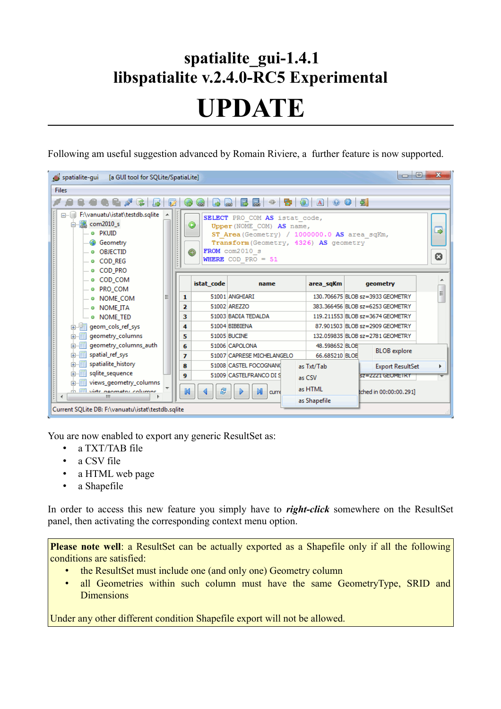## **spatialite\_gui-1.4.1 libspatialite v.2.4.0-RC5 Experimental**

## **UPDATE**

Following am useful suggestion advanced by Romain Riviere, a further feature is now supported.



You are now enabled to export any generic ResultSet as:

- a TXT/TAB file
- a CSV file
- a HTML web page
- a Shapefile

In order to access this new feature you simply have to *right-click* somewhere on the ResultSet panel, then activating the corresponding context menu option.

**Please note well**: a ResultSet can be actually exported as a Shapefile only if all the following conditions are satisfied:

- the ResultSet must include one (and only one) Geometry column
- all Geometries within such column must have the same GeometryType, SRID and **Dimensions**

Under any other different condition Shapefile export will not be allowed.